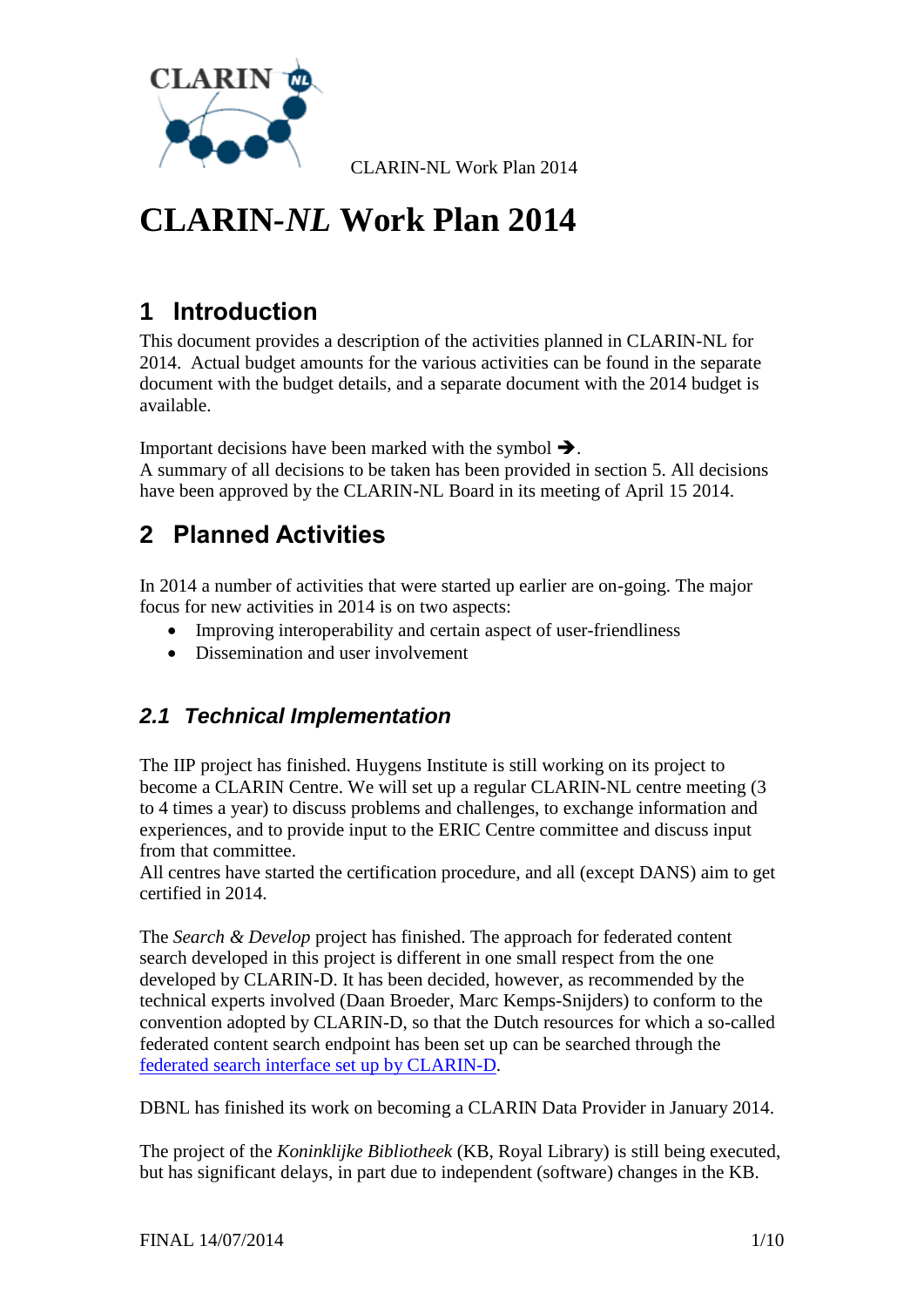

# **CLARIN***-NL* **Work Plan 2014**

# **1 Introduction**

This document provides a description of the activities planned in CLARIN-NL for 2014. Actual budget amounts for the various activities can be found in the separate document with the budget details, and a separate document with the 2014 budget is available.

Important decisions have been marked with the symbol  $\rightarrow$ .

A summary of all decisions to be taken has been provided in section [5.](#page-8-0) All decisions have been approved by the CLARIN-NL Board in its meeting of April 15 2014.

# **2 Planned Activities**

In 2014 a number of activities that were started up earlier are on-going. The major focus for new activities in 2014 is on two aspects:

- Improving interoperability and certain aspect of user-friendliness
- Dissemination and user involvement

### *2.1 Technical Implementation*

The IIP project has finished. Huygens Institute is still working on its project to become a CLARIN Centre. We will set up a regular CLARIN-NL centre meeting (3 to 4 times a year) to discuss problems and challenges, to exchange information and experiences, and to provide input to the ERIC Centre committee and discuss input from that committee.

All centres have started the certification procedure, and all (except DANS) aim to get certified in 2014.

The *Search & Develop* project has finished. The approach for federated content search developed in this project is different in one small respect from the one developed by CLARIN-D. It has been decided, however, as recommended by the technical experts involved (Daan Broeder, Marc Kemps-Snijders) to conform to the convention adopted by CLARIN-D, so that the Dutch resources for which a so-called federated content search endpoint has been set up can be searched through the [federated search interface set up by CLARIN-D.](http://weblicht.sfs.uni-tuebingen.de/Aggregator/)

DBNL has finished its work on becoming a CLARIN Data Provider in January 2014.

The project of the *Koninklijke Bibliotheek* (KB, Royal Library) is still being executed, but has significant delays, in part due to independent (software) changes in the KB.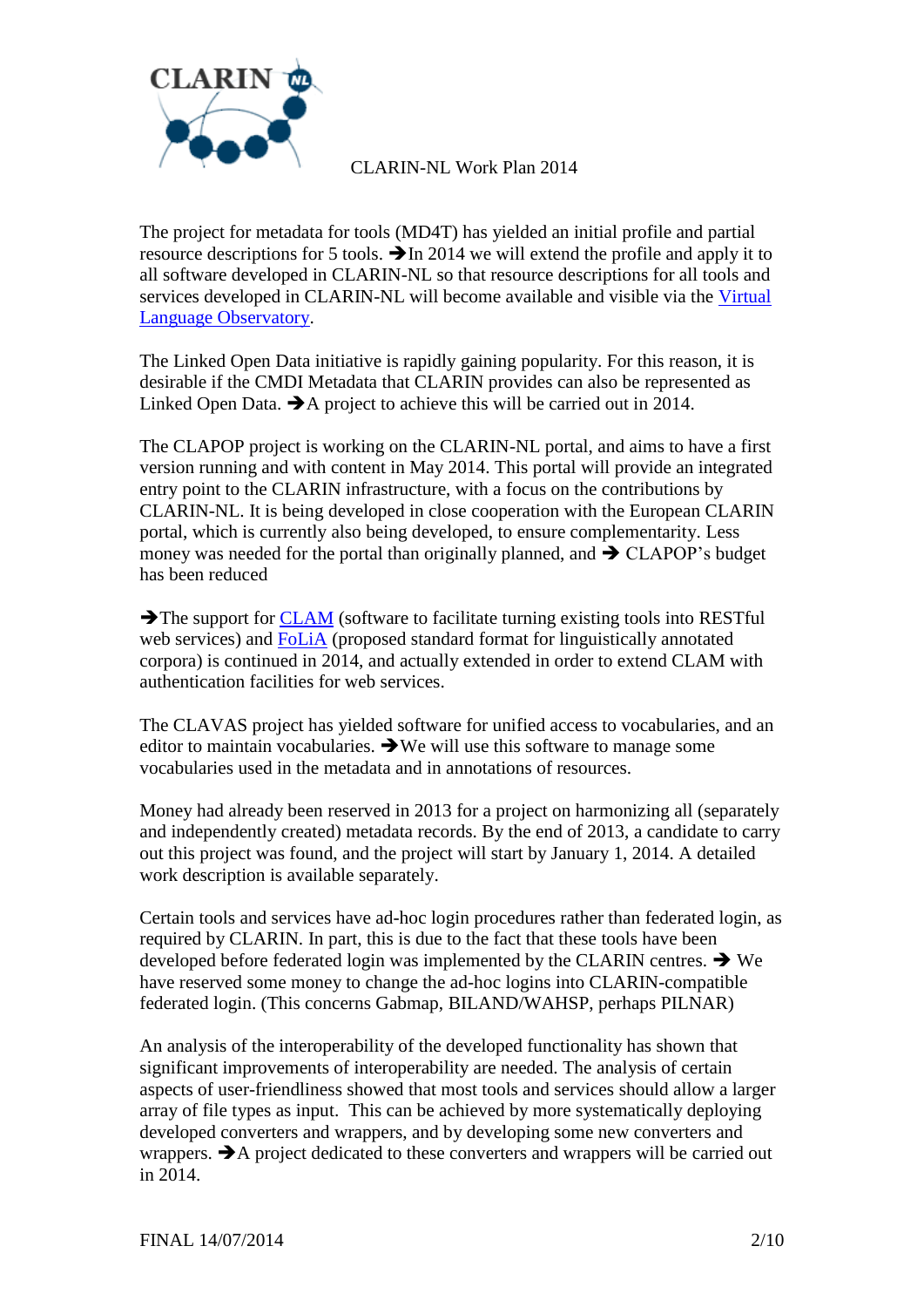

The project for metadata for tools (MD4T) has yielded an initial profile and partial resource descriptions for 5 tools.  $\rightarrow$  In 2014 we will extend the profile and apply it to all software developed in CLARIN-NL so that resource descriptions for all tools and services developed in CLARIN-NL will become available and visible via the [Virtual](http://www.clarin.eu/vlo)  [Language Observatory.](http://www.clarin.eu/vlo)

The Linked Open Data initiative is rapidly gaining popularity. For this reason, it is desirable if the CMDI Metadata that CLARIN provides can also be represented as Linked Open Data.  $\rightarrow$  A project to achieve this will be carried out in 2014.

The CLAPOP project is working on the CLARIN-NL portal, and aims to have a first version running and with content in May 2014. This portal will provide an integrated entry point to the CLARIN infrastructure, with a focus on the contributions by CLARIN-NL. It is being developed in close cooperation with the European CLARIN portal, which is currently also being developed, to ensure complementarity. Less money was needed for the portal than originally planned, and  $\rightarrow$  CLAPOP's budget has been reduced

 $\rightarrow$  The support for [CLAM](http://proycon.github.io/clam/) (software to facilitate turning existing tools into RESTful web services) and [FoLiA](http://proycon.github.io/folia/) (proposed standard format for linguistically annotated corpora) is continued in 2014, and actually extended in order to extend CLAM with authentication facilities for web services.

The CLAVAS project has yielded software for unified access to vocabularies, and an editor to maintain vocabularies.  $\rightarrow$  We will use this software to manage some vocabularies used in the metadata and in annotations of resources.

Money had already been reserved in 2013 for a project on harmonizing all (separately and independently created) metadata records. By the end of 2013, a candidate to carry out this project was found, and the project will start by January 1, 2014. A detailed work description is available separately.

Certain tools and services have ad-hoc login procedures rather than federated login, as required by CLARIN. In part, this is due to the fact that these tools have been developed before federated login was implemented by the CLARIN centres.  $\rightarrow$  We have reserved some money to change the ad-hoc logins into CLARIN-compatible federated login. (This concerns Gabmap, BILAND/WAHSP, perhaps PILNAR)

An analysis of the interoperability of the developed functionality has shown that significant improvements of interoperability are needed. The analysis of certain aspects of user-friendliness showed that most tools and services should allow a larger array of file types as input. This can be achieved by more systematically deploying developed converters and wrappers, and by developing some new converters and wrappers.  $\rightarrow$  A project dedicated to these converters and wrappers will be carried out in 2014.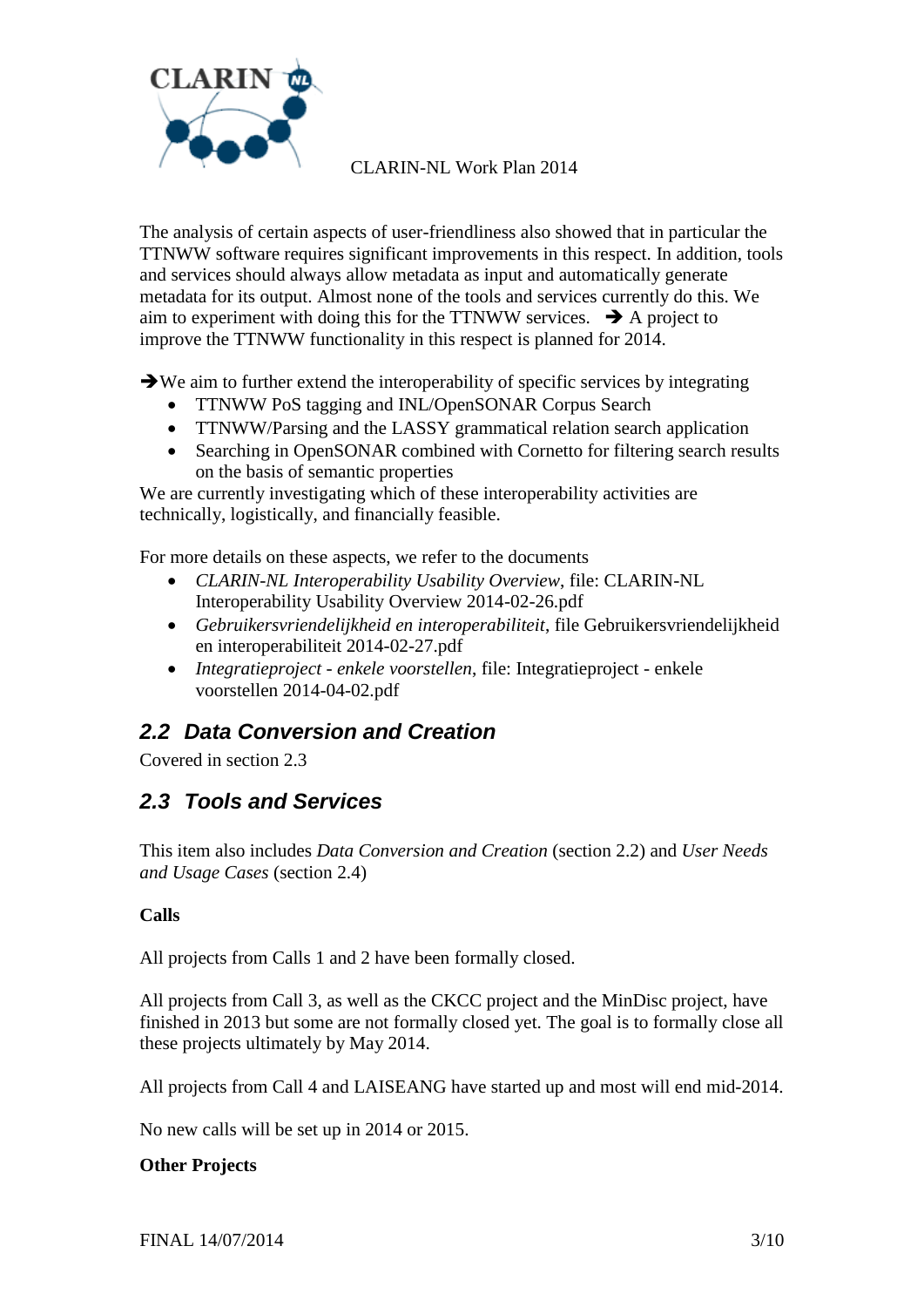

The analysis of certain aspects of user-friendliness also showed that in particular the TTNWW software requires significant improvements in this respect. In addition, tools and services should always allow metadata as input and automatically generate metadata for its output. Almost none of the tools and services currently do this. We aim to experiment with doing this for the TTNWW services.  $\rightarrow$  A project to improve the TTNWW functionality in this respect is planned for 2014.

 $\rightarrow$  We aim to further extend the interoperability of specific services by integrating

- TTNWW PoS tagging and INL/OpenSONAR Corpus Search
- TTNWW/Parsing and the LASSY grammatical relation search application
- Searching in OpenSONAR combined with Cornetto for filtering search results on the basis of semantic properties

We are currently investigating which of these interoperability activities are technically, logistically, and financially feasible.

For more details on these aspects, we refer to the documents

- *CLARIN-NL Interoperability Usability Overview*, file: CLARIN-NL Interoperability Usability Overview 2014-02-26.pdf
- *Gebruikersvriendelijkheid en interoperabiliteit*, file Gebruikersvriendelijkheid en interoperabiliteit 2014-02-27.pdf
- *Integratieproject - enkele voorstellen*, file: Integratieproject enkele voorstellen 2014-04-02.pdf

### <span id="page-2-1"></span>*2.2 Data Conversion and Creation*

Covered in section [2.3](#page-2-0)

### <span id="page-2-0"></span>*2.3 Tools and Services*

This item also includes *Data Conversion and Creation* (section [2.2\)](#page-2-1) and *User Needs and Usage Cases* (section [2.4\)](#page-3-0)

#### **Calls**

All projects from Calls 1 and 2 have been formally closed.

All projects from Call 3, as well as the CKCC project and the MinDisc project, have finished in 2013 but some are not formally closed yet. The goal is to formally close all these projects ultimately by May 2014.

All projects from Call 4 and LAISEANG have started up and most will end mid-2014.

No new calls will be set up in 2014 or 2015.

#### **Other Projects**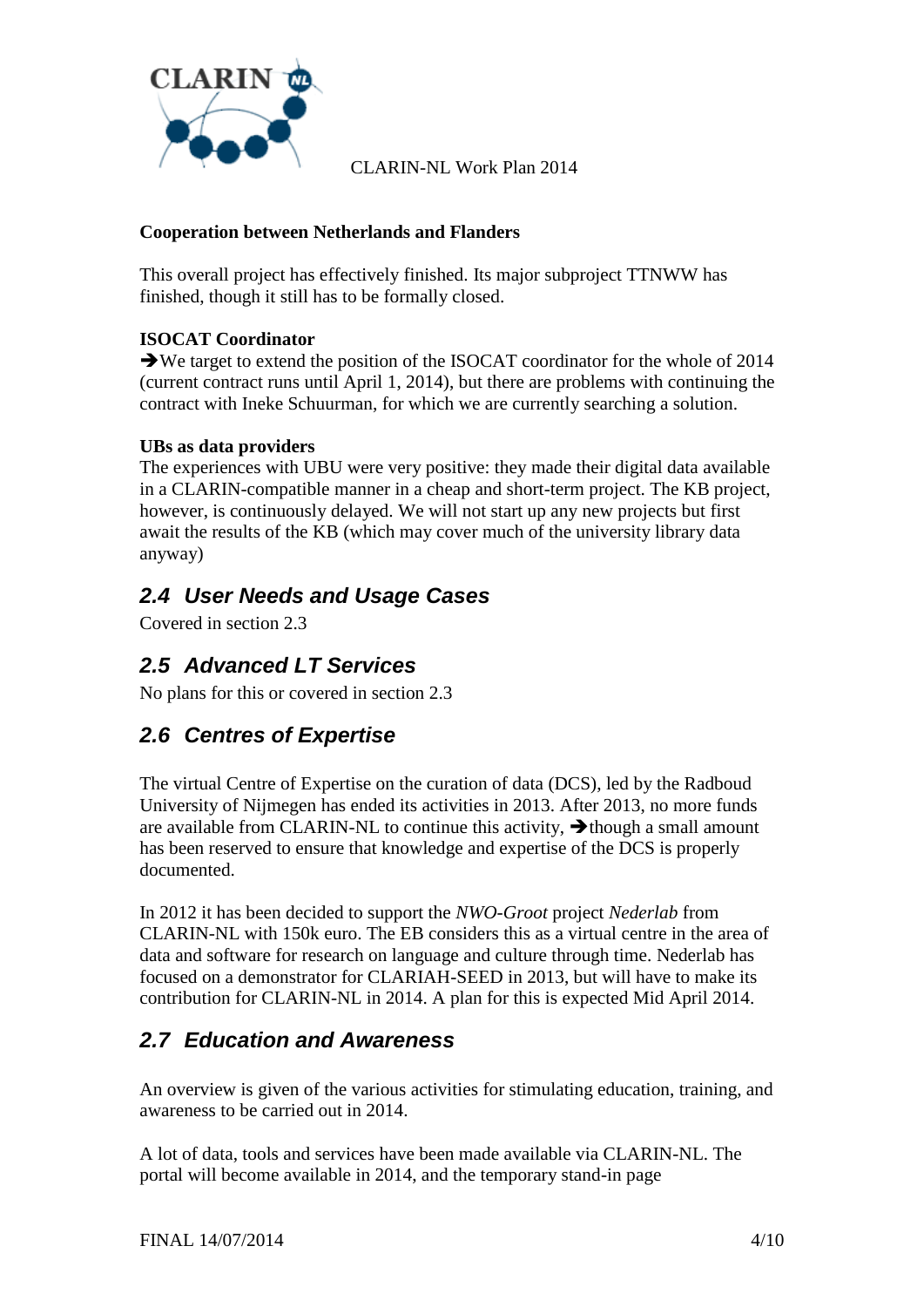

#### **Cooperation between Netherlands and Flanders**

This overall project has effectively finished. Its major subproject TTNWW has finished, though it still has to be formally closed.

#### **ISOCAT Coordinator**

We target to extend the position of the ISOCAT coordinator for the whole of 2014 (current contract runs until April 1, 2014), but there are problems with continuing the contract with Ineke Schuurman, for which we are currently searching a solution.

#### **UBs as data providers**

The experiences with UBU were very positive: they made their digital data available in a CLARIN-compatible manner in a cheap and short-term project. The KB project, however, is continuously delayed. We will not start up any new projects but first await the results of the KB (which may cover much of the university library data anyway)

### <span id="page-3-0"></span>*2.4 User Needs and Usage Cases*

Covered in section [2.3](#page-2-0)

### *2.5 Advanced LT Services*

No plans for this or covered in section [2.3](#page-2-0)

### *2.6 Centres of Expertise*

The virtual Centre of Expertise on the curation of data (DCS), led by the Radboud University of Nijmegen has ended its activities in 2013. After 2013, no more funds are available from CLARIN-NL to continue this activity,  $\rightarrow$  though a small amount has been reserved to ensure that knowledge and expertise of the DCS is properly documented.

In 2012 it has been decided to support the *NWO-Groot* project *Nederlab* from CLARIN-NL with 150k euro. The EB considers this as a virtual centre in the area of data and software for research on language and culture through time. Nederlab has focused on a demonstrator for CLARIAH-SEED in 2013, but will have to make its contribution for CLARIN-NL in 2014. A plan for this is expected Mid April 2014.

### *2.7 Education and Awareness*

An overview is given of the various activities for stimulating education, training, and awareness to be carried out in 2014.

A lot of data, tools and services have been made available via CLARIN-NL. The portal will become available in 2014, and the temporary stand-in page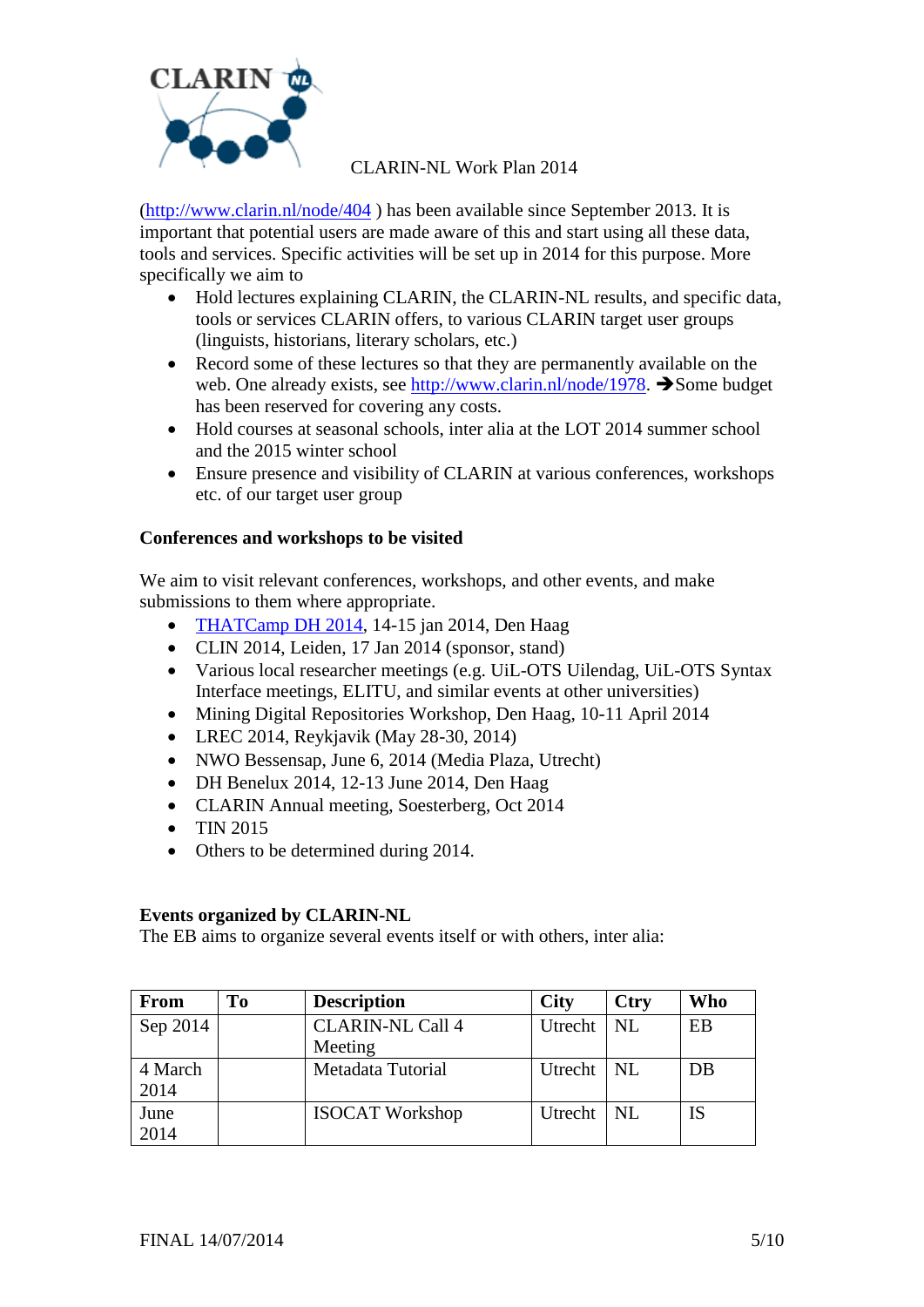

[\(http://www.clarin.nl/node/404](http://www.clarin.nl/node/404) ) has been available since September 2013. It is important that potential users are made aware of this and start using all these data, tools and services. Specific activities will be set up in 2014 for this purpose. More specifically we aim to

- Hold lectures explaining CLARIN, the CLARIN-NL results, and specific data, tools or services CLARIN offers, to various CLARIN target user groups (linguists, historians, literary scholars, etc.)
- Record some of these lectures so that they are permanently available on the web. One already exists, see [http://www.clarin.nl/node/1978.](http://www.clarin.nl/node/1978)  $\rightarrow$  Some budget has been reserved for covering any costs.
- Hold courses at seasonal schools, inter alia at the LOT 2014 summer school and the 2015 winter school
- Ensure presence and visibility of CLARIN at various conferences, workshops etc. of our target user group

#### **Conferences and workshops to be visited**

We aim to visit relevant conferences, workshops, and other events, and make submissions to them where appropriate.

- [THATCamp DH 2014,](http://www.clarin.nl/node/1946) 14-15 jan 2014, Den Haag
- CLIN 2014, Leiden, 17 Jan 2014 (sponsor, stand)
- Various local researcher meetings (e.g. UiL-OTS Uilendag, UiL-OTS Syntax Interface meetings, ELITU, and similar events at other universities)
- Mining Digital Repositories Workshop, Den Haag, 10-11 April 2014
- LREC 2014, Reykjavik (May 28-30, 2014)
- NWO Bessensap, June 6, 2014 (Media Plaza, Utrecht)
- DH Benelux 2014, 12-13 June 2014, Den Haag
- CLARIN Annual meeting, Soesterberg, Oct 2014
- $\bullet$  TIN 2015
- Others to be determined during 2014.

#### **Events organized by CLARIN-NL**

The EB aims to organize several events itself or with others, inter alia:

| <b>From</b> | T <sub>0</sub> | <b>Description</b>      | <b>City</b>  | <b>Ctry</b> | Who |
|-------------|----------------|-------------------------|--------------|-------------|-----|
| Sep 2014    |                | <b>CLARIN-NL Call 4</b> | Utrecht      | NL          | EB  |
|             |                | Meeting                 |              |             |     |
| 4 March     |                | Metadata Tutorial       | Utrecht   NL |             | DB  |
| 2014        |                |                         |              |             |     |
| June        |                | <b>ISOCAT Workshop</b>  | Utrecht   NL |             | IS  |
| 2014        |                |                         |              |             |     |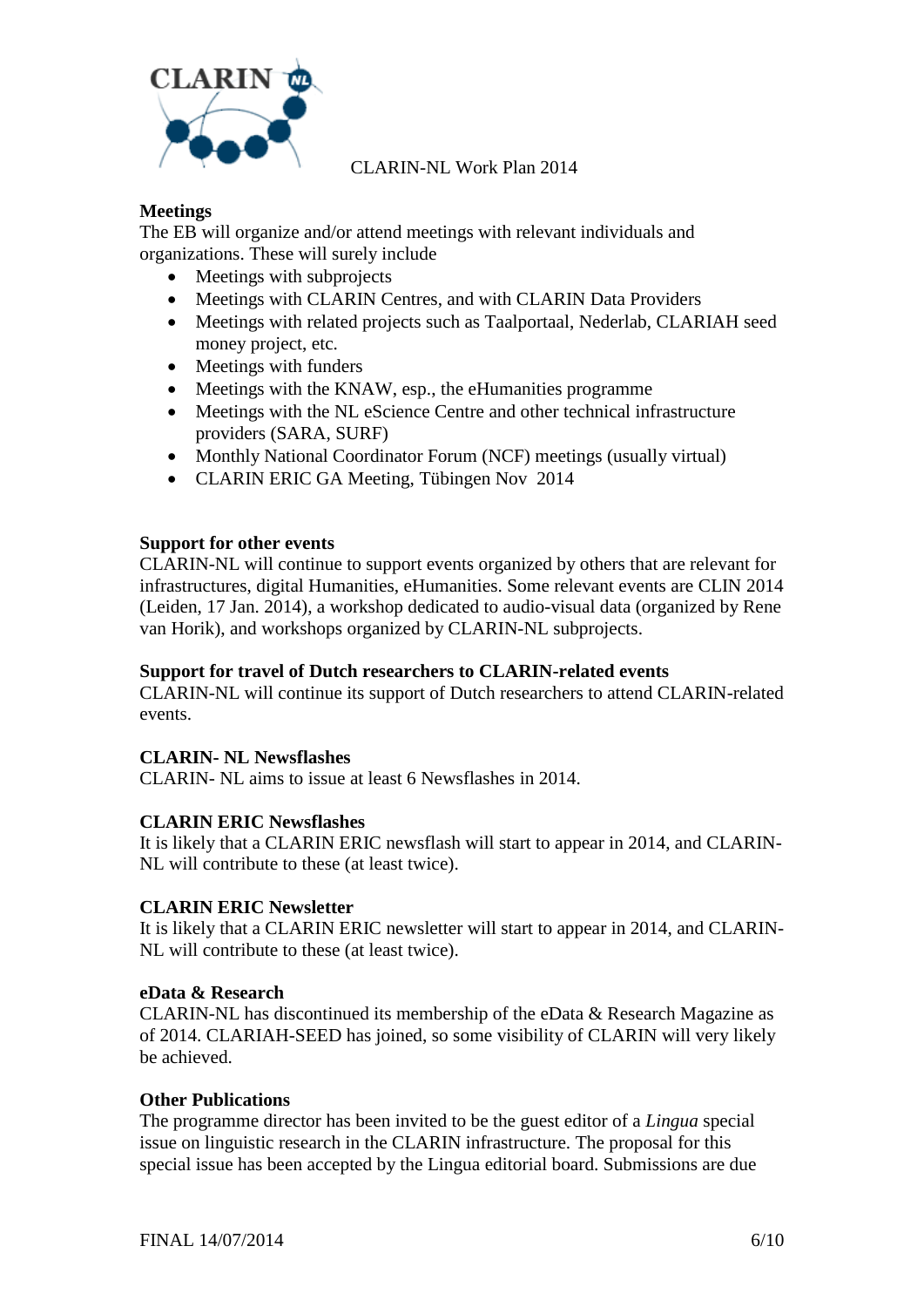

#### **Meetings**

The EB will organize and/or attend meetings with relevant individuals and organizations. These will surely include

- Meetings with subprojects
- Meetings with CLARIN Centres, and with CLARIN Data Providers
- Meetings with related projects such as Taalportaal, Nederlab, CLARIAH seed money project, etc.
- Meetings with funders
- Meetings with the KNAW, esp., the eHumanities programme
- Meetings with the NL eScience Centre and other technical infrastructure providers (SARA, SURF)
- Monthly National Coordinator Forum (NCF) meetings (usually virtual)
- CLARIN ERIC GA Meeting, Tübingen Nov 2014

#### **Support for other events**

CLARIN-NL will continue to support events organized by others that are relevant for infrastructures, digital Humanities, eHumanities. Some relevant events are CLIN 2014 (Leiden, 17 Jan. 2014), a workshop dedicated to audio-visual data (organized by Rene van Horik), and workshops organized by CLARIN-NL subprojects.

#### **Support for travel of Dutch researchers to CLARIN-related events**

CLARIN-NL will continue its support of Dutch researchers to attend CLARIN-related events.

#### **CLARIN- NL Newsflashes**

CLARIN- NL aims to issue at least 6 Newsflashes in 2014.

#### **CLARIN ERIC Newsflashes**

It is likely that a CLARIN ERIC newsflash will start to appear in 2014, and CLARIN-NL will contribute to these (at least twice).

#### **CLARIN ERIC Newsletter**

It is likely that a CLARIN ERIC newsletter will start to appear in 2014, and CLARIN-NL will contribute to these (at least twice).

#### **eData & Research**

CLARIN-NL has discontinued its membership of the eData & Research Magazine as of 2014. CLARIAH-SEED has joined, so some visibility of CLARIN will very likely be achieved.

#### **Other Publications**

The programme director has been invited to be the guest editor of a *Lingua* special issue on linguistic research in the CLARIN infrastructure. The proposal for this special issue has been accepted by the Lingua editorial board. Submissions are due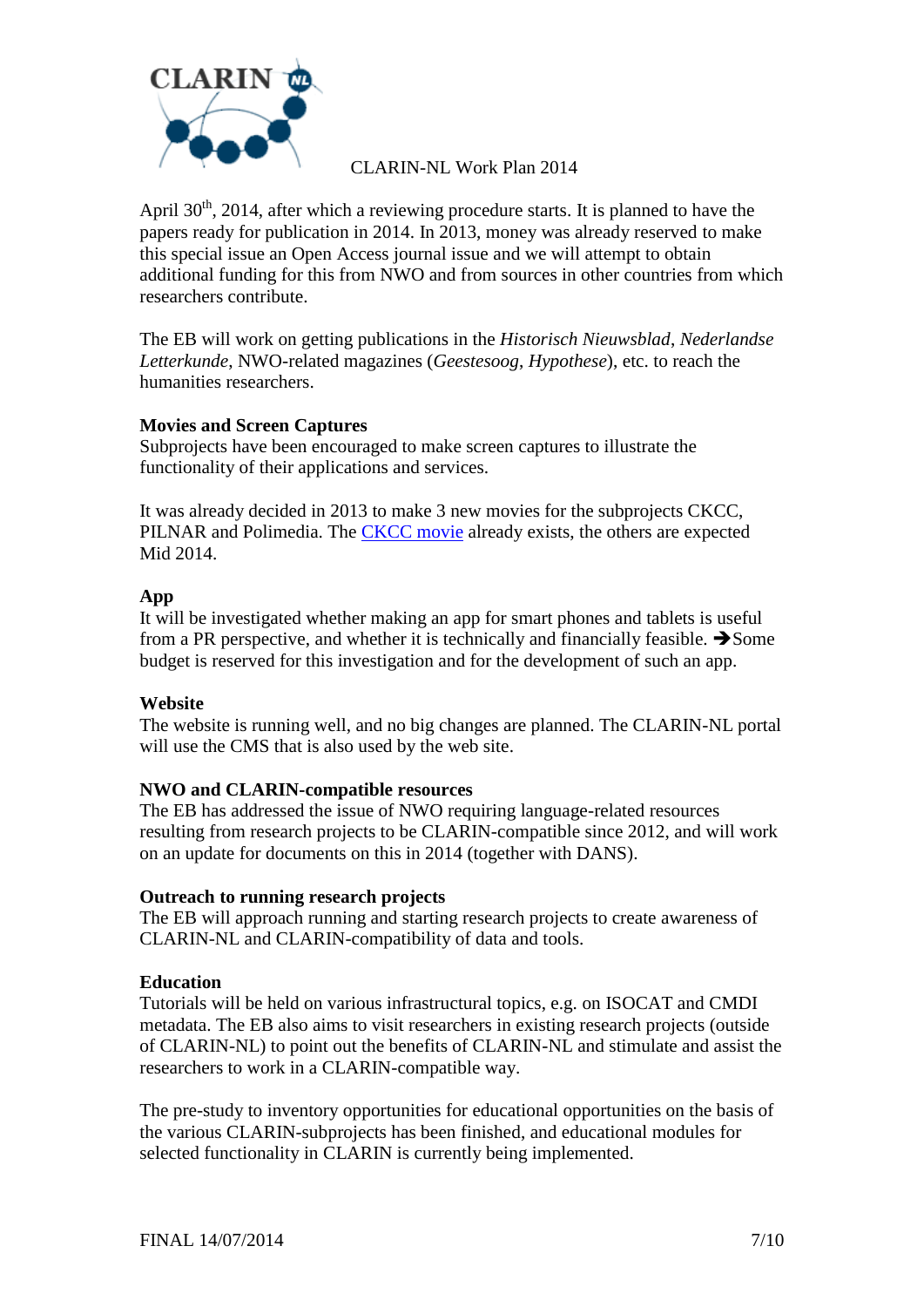

April  $30<sup>th</sup>$ , 2014, after which a reviewing procedure starts. It is planned to have the papers ready for publication in 2014. In 2013, money was already reserved to make this special issue an Open Access journal issue and we will attempt to obtain additional funding for this from NWO and from sources in other countries from which researchers contribute.

The EB will work on getting publications in the *Historisch Nieuwsblad*, *Nederlandse Letterkunde*, NWO-related magazines (*Geestesoog*, *Hypothese*), etc. to reach the humanities researchers.

#### **Movies and Screen Captures**

Subprojects have been encouraged to make screen captures to illustrate the functionality of their applications and services.

It was already decided in 2013 to make 3 new movies for the subprojects CKCC, PILNAR and Polimedia. The [CKCC movie](http://www.youtube.com/watch?v=Sl0Ig7SCOcc) already exists, the others are expected Mid 2014.

#### **App**

It will be investigated whether making an app for smart phones and tablets is useful from a PR perspective, and whether it is technically and financially feasible.  $\rightarrow$  Some budget is reserved for this investigation and for the development of such an app.

#### **Website**

The website is running well, and no big changes are planned. The CLARIN-NL portal will use the CMS that is also used by the web site.

#### **NWO and CLARIN-compatible resources**

The EB has addressed the issue of NWO requiring language-related resources resulting from research projects to be CLARIN-compatible since 2012, and will work on an update for documents on this in 2014 (together with DANS).

#### **Outreach to running research projects**

The EB will approach running and starting research projects to create awareness of CLARIN-NL and CLARIN-compatibility of data and tools.

#### **Education**

Tutorials will be held on various infrastructural topics, e.g. on ISOCAT and CMDI metadata. The EB also aims to visit researchers in existing research projects (outside of CLARIN-NL) to point out the benefits of CLARIN-NL and stimulate and assist the researchers to work in a CLARIN-compatible way.

The pre-study to inventory opportunities for educational opportunities on the basis of the various CLARIN-subprojects has been finished, and educational modules for selected functionality in CLARIN is currently being implemented.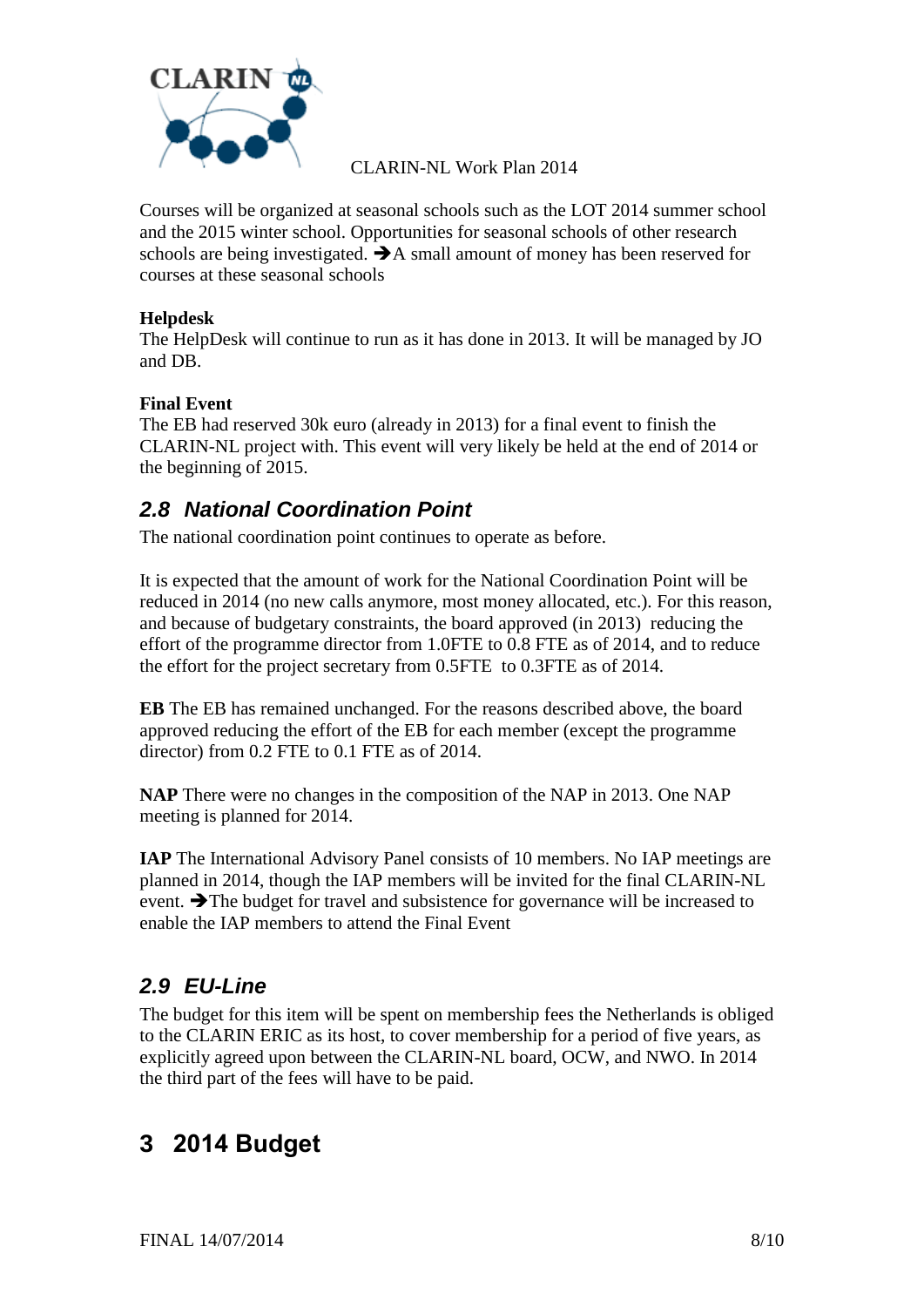

Courses will be organized at seasonal schools such as the LOT 2014 summer school and the 2015 winter school. Opportunities for seasonal schools of other research schools are being investigated.  $\rightarrow$  A small amount of money has been reserved for courses at these seasonal schools

#### **Helpdesk**

The HelpDesk will continue to run as it has done in 2013. It will be managed by JO and DB.

#### **Final Event**

The EB had reserved 30k euro (already in 2013) for a final event to finish the CLARIN-NL project with. This event will very likely be held at the end of 2014 or the beginning of 2015.

### *2.8 National Coordination Point*

The national coordination point continues to operate as before.

It is expected that the amount of work for the National Coordination Point will be reduced in 2014 (no new calls anymore, most money allocated, etc.). For this reason, and because of budgetary constraints, the board approved (in 2013) reducing the effort of the programme director from 1.0FTE to 0.8 FTE as of 2014, and to reduce the effort for the project secretary from 0.5FTE to 0.3FTE as of 2014.

**EB** The EB has remained unchanged. For the reasons described above, the board approved reducing the effort of the EB for each member (except the programme director) from 0.2 FTE to 0.1 FTE as of 2014.

**NAP** There were no changes in the composition of the NAP in 2013. One NAP meeting is planned for 2014.

**IAP** The International Advisory Panel consists of 10 members. No IAP meetings are planned in 2014, though the IAP members will be invited for the final CLARIN-NL event.  $\rightarrow$  The budget for travel and subsistence for governance will be increased to enable the IAP members to attend the Final Event

### *2.9 EU-Line*

The budget for this item will be spent on membership fees the Netherlands is obliged to the CLARIN ERIC as its host, to cover membership for a period of five years, as explicitly agreed upon between the CLARIN-NL board, OCW, and NWO. In 2014 the third part of the fees will have to be paid.

## **3 2014 Budget**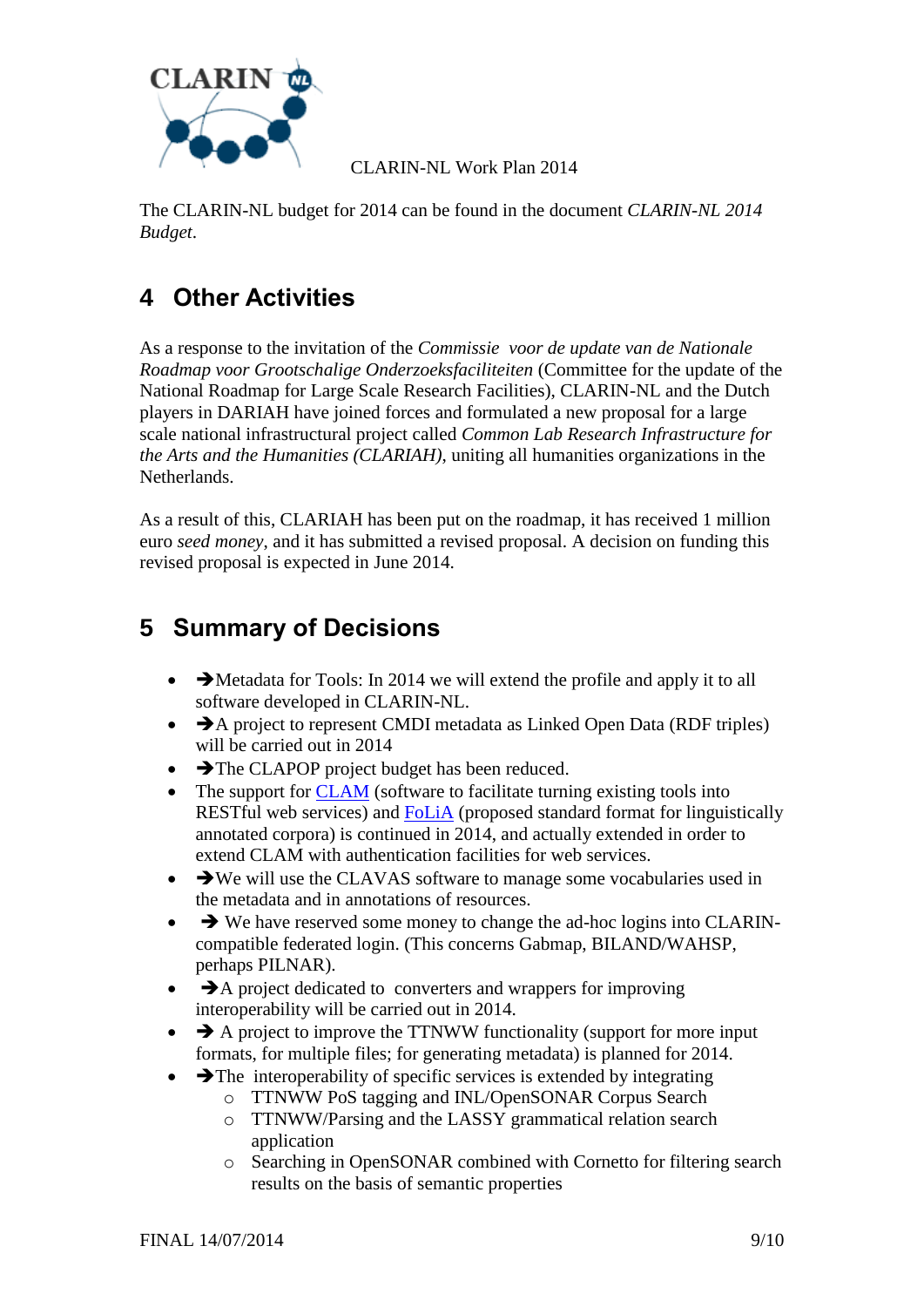

The CLARIN-NL budget for 2014 can be found in the document *CLARIN-NL 2014 Budget*.

# **4 Other Activities**

As a response to the invitation of the *Commissie voor de update van de Nationale Roadmap voor Grootschalige Onderzoeksfaciliteiten* (Committee for the update of the National Roadmap for Large Scale Research Facilities), CLARIN-NL and the Dutch players in DARIAH have joined forces and formulated a new proposal for a large scale national infrastructural project called *Common Lab Research Infrastructure for the Arts and the Humanities (CLARIAH)*, uniting all humanities organizations in the Netherlands.

As a result of this, CLARIAH has been put on the roadmap, it has received 1 million euro *seed money*, and it has submitted a revised proposal. A decision on funding this revised proposal is expected in June 2014.

# <span id="page-8-0"></span>**5 Summary of Decisions**

- $\bullet\quad \blacktriangleright$  Metadata for Tools: In 2014 we will extend the profile and apply it to all software developed in CLARIN-NL.
- $\rightarrow$  A project to represent CMDI metadata as Linked Open Data (RDF triples) will be carried out in 2014
- The CLAPOP project budget has been reduced.
- The support for [CLAM](http://proycon.github.io/clam/) (software to facilitate turning existing tools into RESTful web services) and [FoLiA](http://proycon.github.io/folia/) (proposed standard format for linguistically annotated corpora) is continued in 2014, and actually extended in order to extend CLAM with authentication facilities for web services.
- $\bullet\quad \rightarrow \text{We will use the CLAVAS software to manage some vocabularies used in}$ the metadata and in annotations of resources.
- $\rightarrow$  We have reserved some money to change the ad-hoc logins into CLARINcompatible federated login. (This concerns Gabmap, BILAND/WAHSP, perhaps PILNAR).
- $\rightarrow$  A project dedicated to converters and wrappers for improving interoperability will be carried out in 2014.
- $\rightarrow$  A project to improve the TTNWW functionality (support for more input formats, for multiple files; for generating metadata) is planned for 2014.
- $\rightarrow$  The interoperability of specific services is extended by integrating
	- o TTNWW PoS tagging and INL/OpenSONAR Corpus Search
	- o TTNWW/Parsing and the LASSY grammatical relation search application
	- o Searching in OpenSONAR combined with Cornetto for filtering search results on the basis of semantic properties